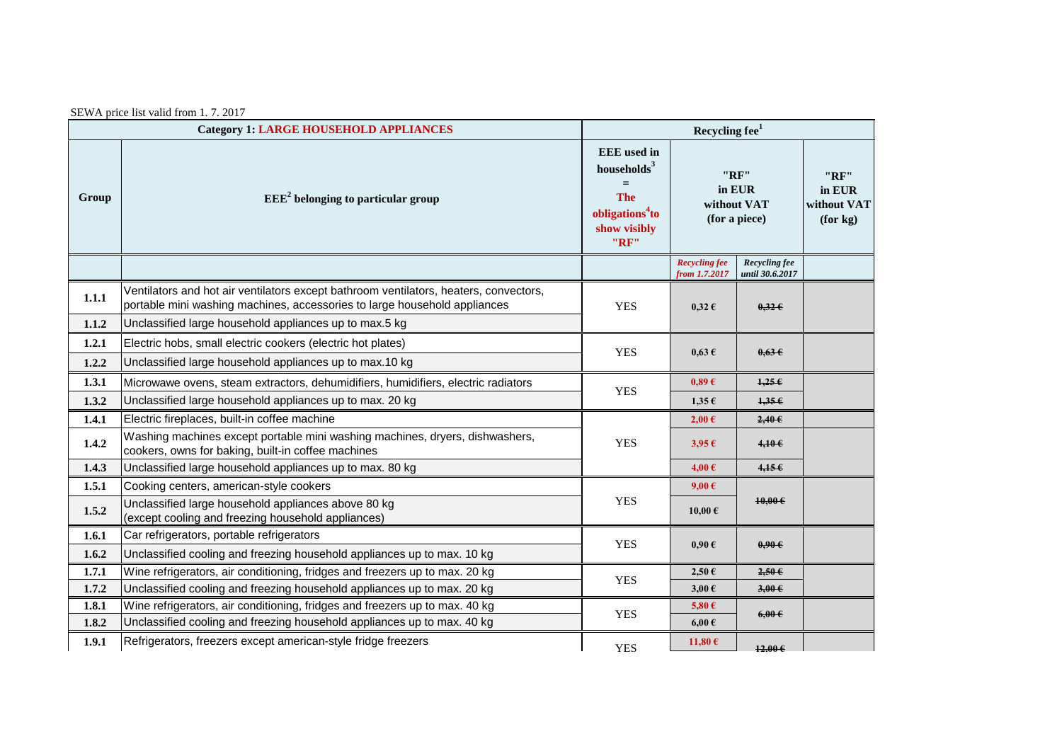| SEWA price list valid from 1.7.2017 |  |  |  |  |
|-------------------------------------|--|--|--|--|
|                                     |  |  |  |  |

| <b>Category 1: LARGE HOUSEHOLD APPLIANCES</b> |                                                                                                                                                                    | Recycling $fee1$                                                                                                 |                                                |                                  |                                           |  |
|-----------------------------------------------|--------------------------------------------------------------------------------------------------------------------------------------------------------------------|------------------------------------------------------------------------------------------------------------------|------------------------------------------------|----------------------------------|-------------------------------------------|--|
| Group                                         | $EEE2$ belonging to particular group                                                                                                                               | <b>EEE</b> used in<br>households $3$<br>$=$<br><b>The</b><br>obligations <sup>4</sup> to<br>show visibly<br>"RF" | "RF"<br>in EUR<br>without VAT<br>(for a piece) |                                  | "RF"<br>in EUR<br>without VAT<br>(for kg) |  |
|                                               |                                                                                                                                                                    |                                                                                                                  | <b>Recycling fee</b><br>from 1.7.2017          | Recycling fee<br>until 30.6.2017 |                                           |  |
| 1.1.1                                         | Ventilators and hot air ventilators except bathroom ventilators, heaters, convectors,<br>portable mini washing machines, accessories to large household appliances | <b>YES</b>                                                                                                       | $0,32 \in$                                     | $0,32 \in$                       |                                           |  |
| 1.1.2                                         | Unclassified large household appliances up to max.5 kg                                                                                                             |                                                                                                                  |                                                |                                  |                                           |  |
| 1.2.1                                         | Electric hobs, small electric cookers (electric hot plates)                                                                                                        | <b>YES</b>                                                                                                       | $0.63 \text{ } \in$                            | $0.63 \epsilon$                  |                                           |  |
| 1.2.2                                         | Unclassified large household appliances up to max.10 kg                                                                                                            |                                                                                                                  |                                                |                                  |                                           |  |
| 1.3.1                                         | Microwawe ovens, steam extractors, dehumidifiers, humidifiers, electric radiators                                                                                  | <b>YES</b>                                                                                                       | 0.89E                                          | 1,256                            |                                           |  |
| 1.3.2                                         | Unclassified large household appliances up to max. 20 kg                                                                                                           |                                                                                                                  | $1,35 \in$                                     | 1,356                            |                                           |  |
| 1.4.1                                         | Electric fireplaces, built-in coffee machine                                                                                                                       |                                                                                                                  | 2,00€                                          | $2,40 \in$                       |                                           |  |
| 1.4.2                                         | Washing machines except portable mini washing machines, dryers, dishwashers,<br>cookers, owns for baking, built-in coffee machines                                 | <b>YES</b>                                                                                                       | $3,95 \in$                                     | 4,106                            |                                           |  |
| 1.4.3                                         | Unclassified large household appliances up to max. 80 kg                                                                                                           |                                                                                                                  | 4,00€                                          | 4,156                            |                                           |  |
| 1.5.1                                         | Cooking centers, american-style cookers                                                                                                                            |                                                                                                                  | $9,00 \in$                                     |                                  |                                           |  |
| 1.5.2                                         | Unclassified large household appliances above 80 kg<br>(except cooling and freezing household appliances)                                                          | <b>YES</b>                                                                                                       | 10,00 $\epsilon$                               | $10,00 \in$                      |                                           |  |
| 1.6.1                                         | Car refrigerators, portable refrigerators                                                                                                                          | <b>YES</b>                                                                                                       | $0.90 \text{ }\epsilon$                        | $0.90 \in$                       |                                           |  |
| 1.6.2                                         | Unclassified cooling and freezing household appliances up to max. 10 kg                                                                                            |                                                                                                                  |                                                |                                  |                                           |  |
| 1.7.1                                         | Wine refrigerators, air conditioning, fridges and freezers up to max. 20 kg                                                                                        | <b>YES</b>                                                                                                       | $2,50 \in$                                     | $2,50$ $\epsilon$                |                                           |  |
| 1.7.2                                         | Unclassified cooling and freezing household appliances up to max. 20 kg                                                                                            |                                                                                                                  | $3,00 \in$                                     | $3,00 \in$                       |                                           |  |
| 1.8.1                                         | Wine refrigerators, air conditioning, fridges and freezers up to max. 40 kg                                                                                        | <b>YES</b>                                                                                                       | 5,80 $\epsilon$                                | $6,00 \in$                       |                                           |  |
| 1.8.2                                         | Unclassified cooling and freezing household appliances up to max. 40 kg                                                                                            |                                                                                                                  | $6,00 \in$                                     |                                  |                                           |  |
| 1.9.1                                         | Refrigerators, freezers except american-style fridge freezers                                                                                                      | <b>YES</b>                                                                                                       | 11,80 $\epsilon$                               | $12.00 \in$                      |                                           |  |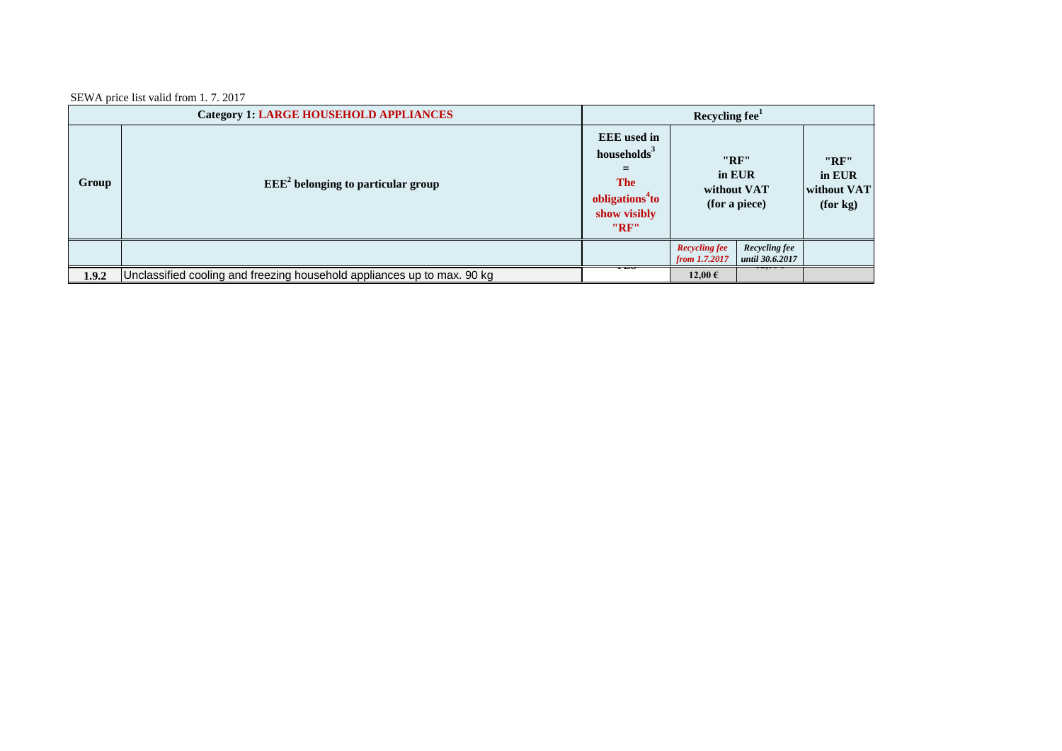SEWA price list valid from 1. 7. 2017

| <b>Category 1: LARGE HOUSEHOLD APPLIANCES</b> |                                                                         | Recycling fee <sup>1</sup> |                                                                                                                                                                      |                                  |                                           |
|-----------------------------------------------|-------------------------------------------------------------------------|----------------------------|----------------------------------------------------------------------------------------------------------------------------------------------------------------------|----------------------------------|-------------------------------------------|
| Group                                         | $EEE2$ belonging to particular group                                    |                            | <b>EEE</b> used in<br>households <sup>3</sup><br>"RF"<br>in EUR<br><b>The</b><br>without VAT<br>obligations <sup>4</sup> to<br>(for a piece)<br>show visibly<br>"RF" |                                  | "RF"<br>in EUR<br>without VAT<br>(for kg) |
|                                               |                                                                         |                            | <b>Recycling fee</b><br>from 1.7.2017                                                                                                                                | Recycling fee<br>until 30.6.2017 |                                           |
| 1.9.2                                         | Unclassified cooling and freezing household appliances up to max. 90 kg | ---                        | 12,00€                                                                                                                                                               | $-2$                             |                                           |